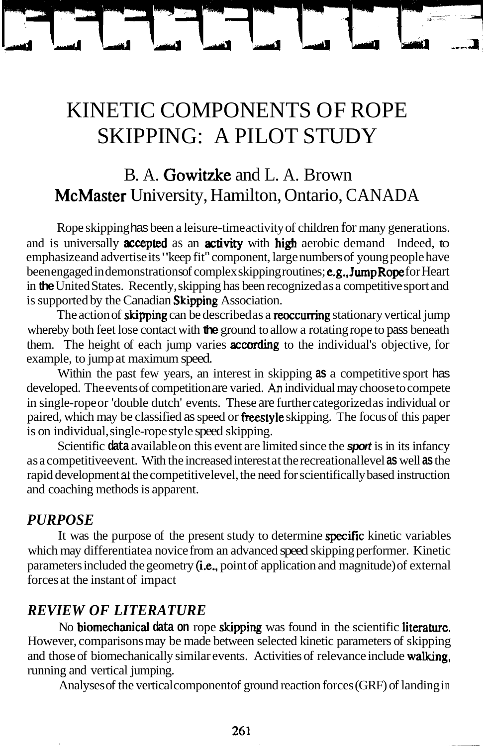# KINETIC COMPONENTS OF ROPE SKIPPING: A PILOT STUDY

# B. A. Gowitzke and L. A. Brown McMaster University, Hamilton, Ontario, CANADA

Rope skipping has been a leisure-time activity of children for many generations. and is universally **accepted** as an **activity** with high aerobic demand Indeed, to emphasize and advertise its "keep fit" component, large numbers of young people have been engaged in demonstrations of complex skipping routines; **e.g., JumpRope** for Heart in **the** United States. Recently, skipping has been recognized as a competitive sport and is supported by the Canadian Skipping Association.

The action of **skipping** can be described as a **reoccurring** stationary vertical jump whereby both feet lose contact with **the** ground to allow a rotating rope to pass beneath them. The height of each jump varies **according** to the individual's objective, for example, to jump at maximum speed.

Within the past few years, an interest in skipping **as** a competitive sport has developed. The events of competition are varied. **An** individual may choose to compete in single-rope or 'double dutch' events. These are further categorized as individual or paired, which may be classified as speed or freestyle skipping. The focus of this paper is on individual, single-rope style speed skipping.

Scientific **data** available on this event are limited since the **sport** is in its infancy as a competitiveevent. With the increased interest at the recreational level **as** well **as** the rapid development **at** the competitive level, the need for scientifically based instruction and coaching methods is apparent.

#### *PURPOSE*

It was the purpose of the present study to determine specific kinetic variables which may differentiate a novice from an advanced speed skipping performer. Kinetic parameters included the geometry (i.e., point of application and magnitude) of external forces at the instant of impact

#### *REVIEW OF LITERATURE*

No biomechanical **data on** rope skipping was found in the scientific literature. However, comparisons may be made between selected kinetic parameters of skipping and those of biomechanically similar events. Activities of relevance include walking, running and vertical jumping.

Analyses of the vertical component of ground reaction forces (GRF) of landing in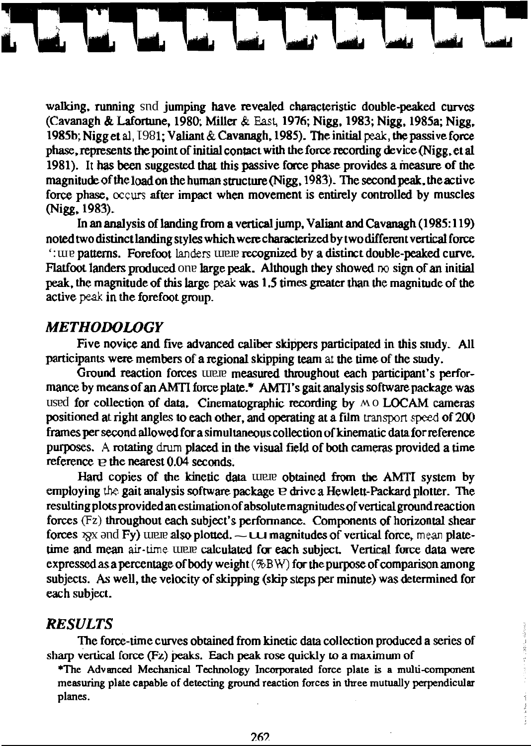walking, running snd jumping have revealed characteristic double-peaked curves (Cavanagh & Lafortune, 1980; Miller & East, 1976; Nigg, 1983; Nigg, 1985a; Nigg, 1985b; Nigg et al, 1981; Valiant & Cavanagh, 1985). The initial peak, the passive force phase, represents the point of initial contact with the force recording device (Nigg, et al 1981). It has been suggested that this passive force phase provides a measure of the magnitude of the load on the human structure (Nigg, 1983). The second peak, the active force phase, occurs after impact when movement is entirely controlled by muscles (Nigg, 1983).

In an analysis of landing from a vertical jump, Valiant and Cavanagh (1985:119) noted two distinct landing styles which were characterized by two different vertical force tion of the patterns. Forefoot landers tunne recognized by a distinct double-peaked curve. Flatfoot landers produced one large peak. Although they showed no sign of an initial peak, the magnitude of this large peak was 1.5 times greater than the magnitude of the active peak in the forefoot group.

### **METHODOLOGY**

Five novice and five advanced caliber skippers participated in this study. All participants were members of a regional skipping team at the time of the study.

Ground reaction forces uname measured throughout each participant's performance by means of an AMTI force plate.\* AMTI's gait analysis software package was used for collection of data. Cinematographic recording by MO LOCAM cameras positioned at right angles to each other, and operating at a film transport speed of 200 frames per second allowed for a simultaneous collection of kinematic data for reference purposes. A rotating drum placed in the visual field of both cameras provided a time reference  $\Omega$ : the nearest 0.04 seconds.

Hard copies of the kinetic data WRR obtained from the AMTI system by employing the gait analysis software package v drive a Hewlett-Packard plotter. The resulting plots provided an estimation of absolute magnitudes of vertical ground reaction forces  $(Fz)$  throughout each subject's performance. Components of horizontal shear forces  $\chi$ x and Fy) units also plotted.  $\sim$  00 magnitudes of vertical force, mean platetime and mean air-time unaw calculated for each subject. Vertical force data were expressed as a percentage of body weight  $(\%B W)$  for the purpose of comparison among subjects. As well, the velocity of skipping (skip steps per minute) was determined for each subject.

#### **RESULTS**

The force-time curves obtained from kinetic data collection produced a series of sharp vertical force (Fz) peaks. Each peak rose quickly to a maximum of

\*The Advanced Mechanical Technology Incorporated force plate is a multi-component measuring plate capable of detecting ground reaction forces in three mutually perpendicular planes.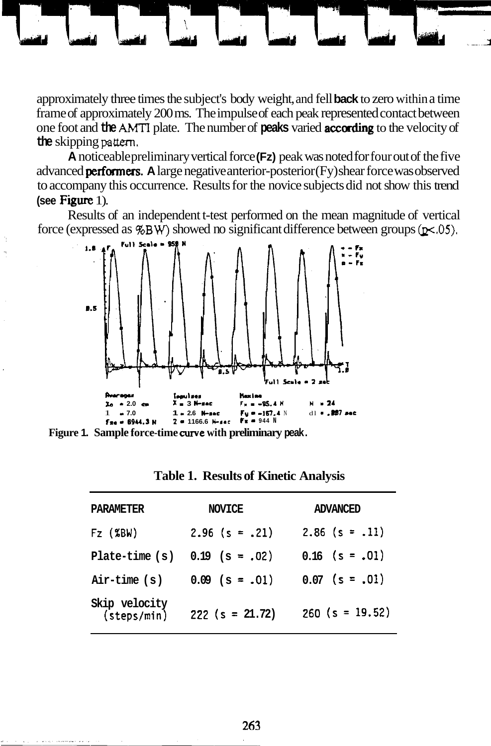approximately three times the subject's body weight, and fell **back** to zero within a time frame of approximately 200 ms. The impulse of each peak represented contact between one foot and **the AMTI** plate. The number of **peaks** varied according to the velocity of **the** skipping **pattern.** 

**A** noticeable preliminary vertical force **(Fz)** peak was noted for four out of the five advanced **performers.** A large negative anterior-posterior (Fy) shear force was observed to accompany this occurrence. Results for the novice subjects did not show this trend **(see Figure 1).** 

Results of an independent t-test performed on the mean magnitude of vertical force (expressed as  $\%BW$ ) showed no significant difference between groups ( $p\lt 0.05$ ).



**Figure 1. Sample force-time curve with preliminary peak.** 

| PARAMETER                                       | NOVICE            | ADVANCED          |
|-------------------------------------------------|-------------------|-------------------|
| $Fz$ (%BW)                                      | $2.96$ (s = .21)  | $2.86$ (s = .11)  |
| $plate-time(s)$                                 | $0.19$ (s = .02)  | $0.16$ (s = .01)  |
| Air-time (s)                                    | $0.09$ (s = .01)  | $0.07$ (s = .01)  |
| Skip velocity<br>$(s_{\text{teps}}/\text{min})$ | $222$ (s = 21.72) | $260$ (s = 19.52) |

**Table 1. Results of Kinetic Analysis**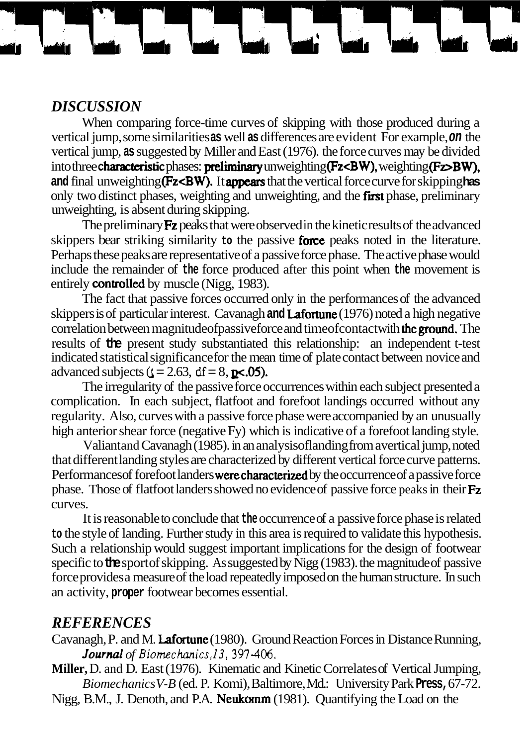## *DISCUSSION*

When comparing force-time curves of skipping with those produced during a vertical jump, some similarities **as** well **as** differences are evident For example, **on** the vertical jump, **as** suggested by Miller and East (1976). the force curves may be divided into three characteristic phases: preliminary unweighting **(Fz<BW)**, weighting **(Fz>BW)**, and final unweighting **(Fz<BW).** It **appears** that the vertical force curve for skipping has only two distinct phases, weighting and unweighting, and the first phase, preliminary unweighting, is absent during skipping.

The preliminary **Fz** peaks that were observed in the kinetic results of the advanced skippers bear striking similarity **to** the passive force peaks noted in the literature. Perhaps these peaks are representative of a passive force phase. The active phase would include the remainder of **the** force produced after this point when **the** movement is entirely **controlled** by muscle (Nigg, 1983).

The fact that passive forces occurred only in the performances of the advanced skippers is of particular interest. Cavanagh **and** Lafortune (1976) noted a high negative correlation between magnitudeofpassive force and timeofcontact with **the ground.** The results of **the** present study substantiated this relationship: an independent t-test indicated statistical significance for the mean time of plate contact between novice and advanced subjects ( $t = 2.63$ ,  $df = 8$ ,  $p \lt 0.05$ ).

The irregularity of the passive force occurrences within each subject presented a complication. In each subject, flatfoot and forefoot landings occurred without any regularity. Also, curves with a passive force phase were accompanied by an unusually high anterior shear force (negative Fy) which is indicative of a forefoot landing style.

Valiant and Cavanagh (1985). in an analysis of landing from a vertical jump, noted that different landing styles are characterized by different vertical force curve patterns. Performances of forefoot landers **were characterized** by the occurrence of a passive force phase. Those of flatfoot landers showed no evidence of passive force peaks in their Fz curves.

It is reasonable to conclude that **the** occurrence of a passive force phase is related **to** the style of landing. Further study in this area is required to validate this hypothesis. Such a relationship would suggest important implications for the design of footwear specific to **the** sport of skipping. As suggested by Nigg (1983). the magnitude of passive force provides a measure of the load repeatedly imposed on the human structure. In such an activity, **proper** footwear becomes essential.

### *REFERENCES*

- Cavanagh, P. and M. Lafortune (1980). Ground Reaction Forces in Distance Running, *Journul of* **Biomechanics,l3,397-406.**
- **Miller,** D. and D. East (1976). Kinematic and Kinetic Correlates of Vertical Jumping, *Biomechanics V-B* (ed. P. Komi), Baltimore, Md.: University Park **Press,** 67-72.

Nigg, B.M., J. Denoth, and P.A. Neukomm (1981). Quantifying the Load on the